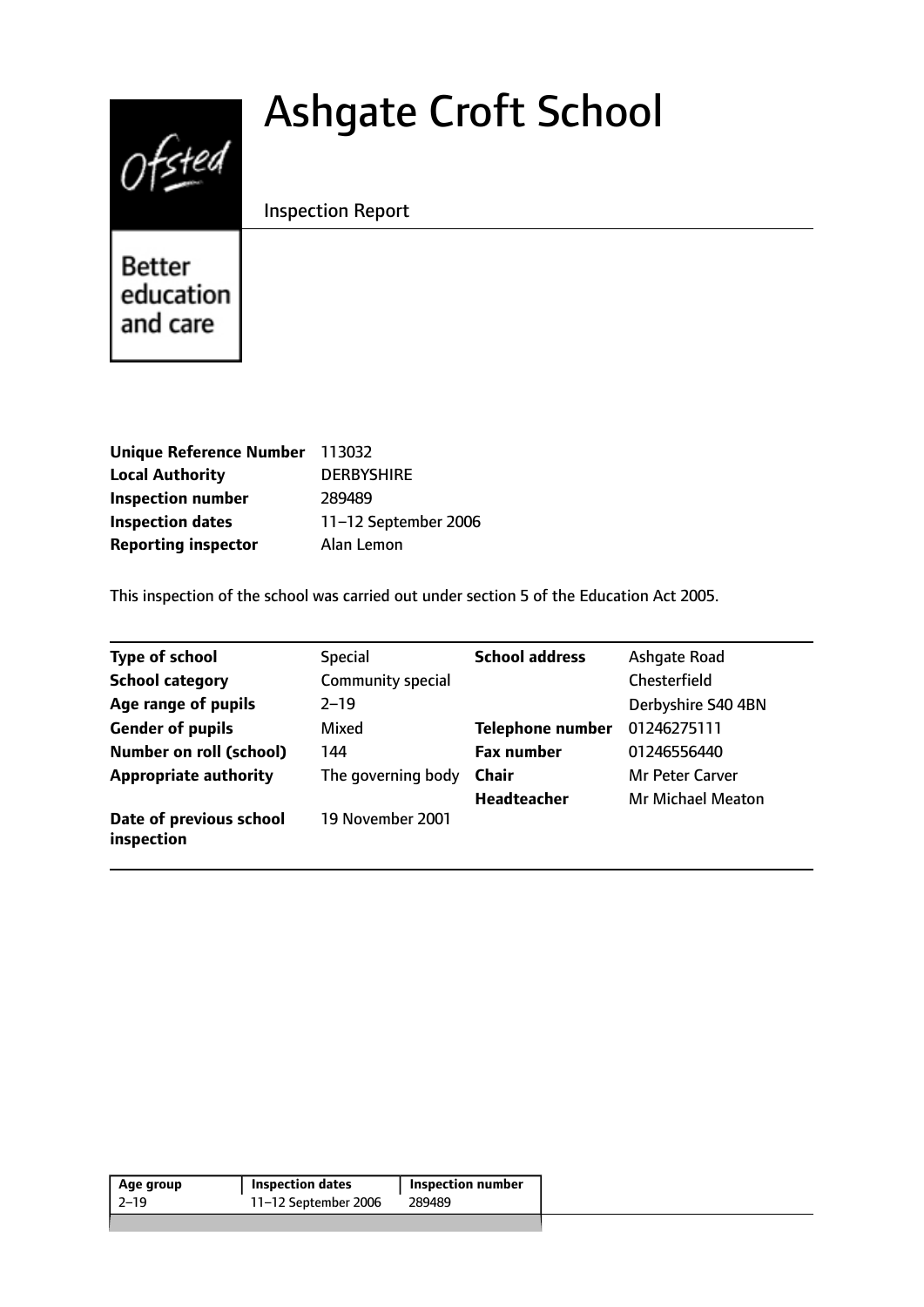# Ashgate Croft School



Inspection Report

Better education and care

| Unique Reference Number 113032 |                      |
|--------------------------------|----------------------|
| <b>Local Authority</b>         | <b>DERBYSHIRE</b>    |
| <b>Inspection number</b>       | 289489               |
| <b>Inspection dates</b>        | 11-12 September 2006 |
| <b>Reporting inspector</b>     | Alan Lemon           |

This inspection of the school was carried out under section 5 of the Education Act 2005.

| <b>Type of school</b>                 | <b>Special</b>     | <b>School address</b>   | Ashqate Road             |
|---------------------------------------|--------------------|-------------------------|--------------------------|
| <b>School category</b>                | Community special  |                         | <b>Chesterfield</b>      |
| Age range of pupils                   | $2 - 19$           |                         | Derbyshire S40 4BN       |
| <b>Gender of pupils</b>               | Mixed              | <b>Telephone number</b> | 01246275111              |
| <b>Number on roll (school)</b>        | 144                | <b>Fax number</b>       | 01246556440              |
| <b>Appropriate authority</b>          | The governing body | <b>Chair</b>            | Mr Peter Carver          |
|                                       |                    | <b>Headteacher</b>      | <b>Mr Michael Meaton</b> |
| Date of previous school<br>inspection | 19 November 2001   |                         |                          |

| Age group | <b>Inspection dates</b> | <b>Inspection number</b> |
|-----------|-------------------------|--------------------------|
| -2–19     | 11-12 September 2006    | 289489                   |
|           |                         |                          |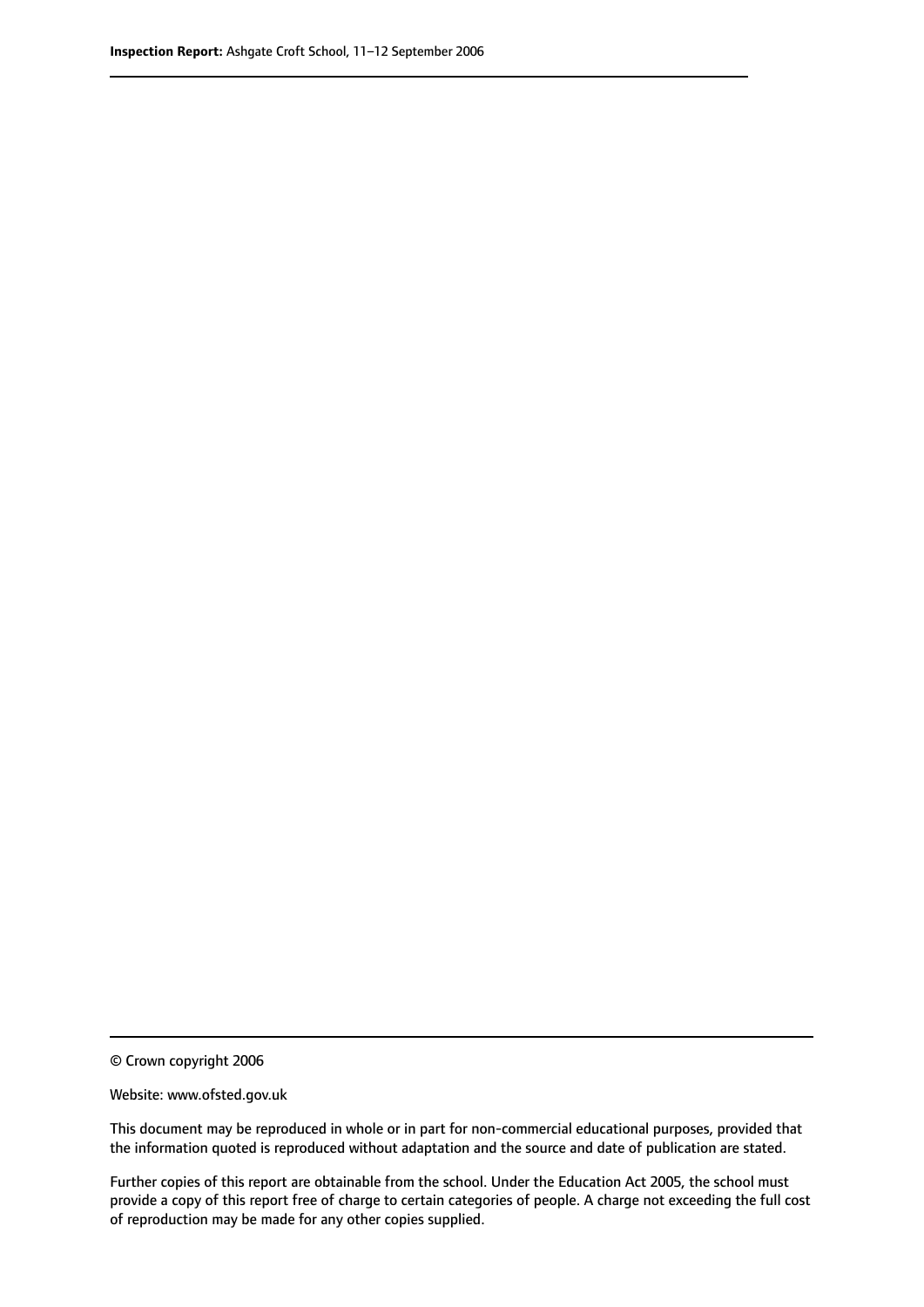© Crown copyright 2006

Website: www.ofsted.gov.uk

This document may be reproduced in whole or in part for non-commercial educational purposes, provided that the information quoted is reproduced without adaptation and the source and date of publication are stated.

Further copies of this report are obtainable from the school. Under the Education Act 2005, the school must provide a copy of this report free of charge to certain categories of people. A charge not exceeding the full cost of reproduction may be made for any other copies supplied.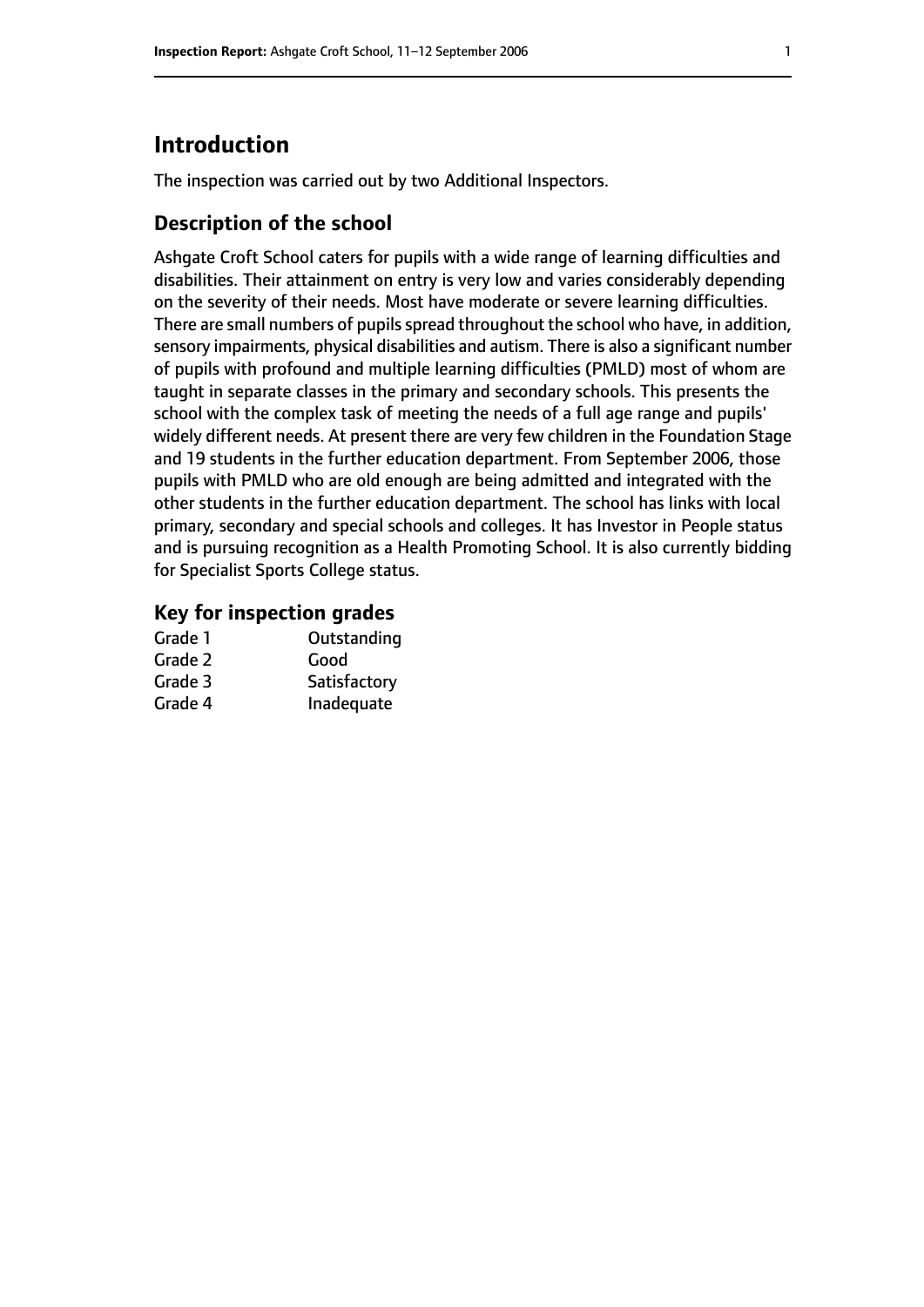# **Introduction**

The inspection was carried out by two Additional Inspectors.

#### **Description of the school**

Ashgate Croft School caters for pupils with a wide range of learning difficulties and disabilities. Their attainment on entry is very low and varies considerably depending on the severity of their needs. Most have moderate or severe learning difficulties. There are small numbers of pupils spread throughout the school who have, in addition, sensory impairments, physical disabilities and autism. There is also a significant number of pupils with profound and multiple learning difficulties (PMLD) most of whom are taught in separate classes in the primary and secondary schools. This presents the school with the complex task of meeting the needs of a full age range and pupils' widely different needs. At present there are very few children in the Foundation Stage and 19 students in the further education department. From September 2006, those pupils with PMLD who are old enough are being admitted and integrated with the other students in the further education department. The school has links with local primary, secondary and special schools and colleges. It has Investor in People status and is pursuing recognition as a Health Promoting School. It is also currently bidding for Specialist Sports College status.

#### **Key for inspection grades**

| Grade 1 | Outstanding  |
|---------|--------------|
| Grade 2 | Good         |
| Grade 3 | Satisfactory |
| Grade 4 | Inadequate   |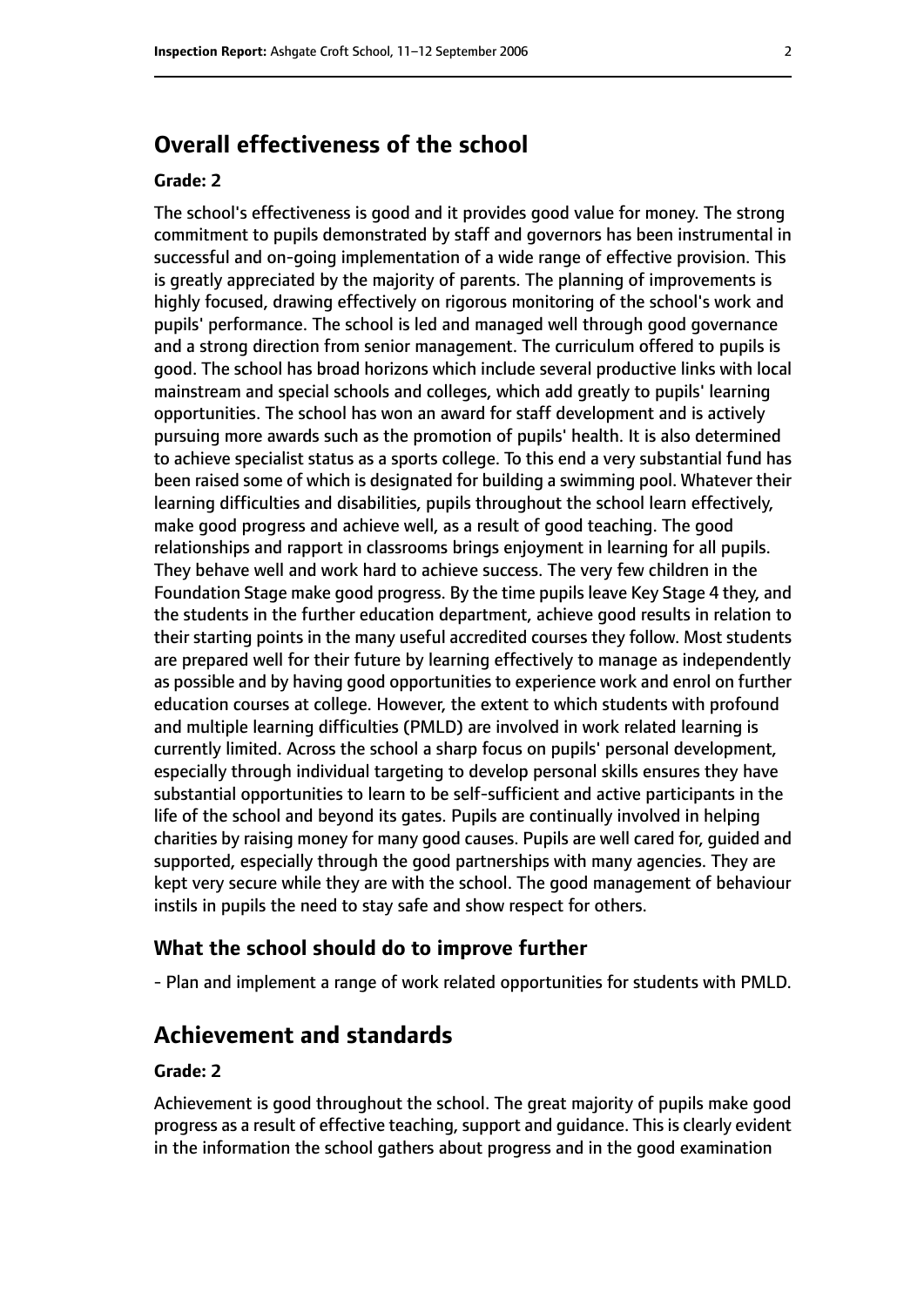# **Overall effectiveness of the school**

#### **Grade: 2**

The school's effectiveness is good and it provides good value for money. The strong commitment to pupils demonstrated by staff and governors has been instrumental in successful and on-going implementation of a wide range of effective provision. This is greatly appreciated by the majority of parents. The planning of improvements is highly focused, drawing effectively on rigorous monitoring of the school's work and pupils' performance. The school is led and managed well through good governance and a strong direction from senior management. The curriculum offered to pupils is good. The school has broad horizons which include several productive links with local mainstream and special schools and colleges, which add greatly to pupils' learning opportunities. The school has won an award for staff development and is actively pursuing more awards such as the promotion of pupils' health. It is also determined to achieve specialist status as a sports college. To this end a very substantial fund has been raised some of which is designated for building a swimming pool. Whatever their learning difficulties and disabilities, pupils throughout the school learn effectively, make good progress and achieve well, as a result of good teaching. The good relationships and rapport in classrooms brings enjoyment in learning for all pupils. They behave well and work hard to achieve success. The very few children in the Foundation Stage make good progress. By the time pupils leave Key Stage 4 they, and the students in the further education department, achieve good results in relation to their starting points in the many useful accredited courses they follow. Most students are prepared well for their future by learning effectively to manage as independently as possible and by having good opportunities to experience work and enrol on further education courses at college. However, the extent to which students with profound and multiple learning difficulties (PMLD) are involved in work related learning is currently limited. Across the school a sharp focus on pupils' personal development, especially through individual targeting to develop personal skills ensures they have substantial opportunities to learn to be self-sufficient and active participants in the life of the school and beyond its gates. Pupils are continually involved in helping charities by raising money for many good causes. Pupils are well cared for, guided and supported, especially through the good partnerships with many agencies. They are kept very secure while they are with the school. The good management of behaviour instils in pupils the need to stay safe and show respect for others.

#### **What the school should do to improve further**

- Plan and implement a range of work related opportunities for students with PMLD.

## **Achievement and standards**

#### **Grade: 2**

Achievement is good throughout the school. The great majority of pupils make good progress as a result of effective teaching, support and guidance. This is clearly evident in the information the school gathers about progress and in the good examination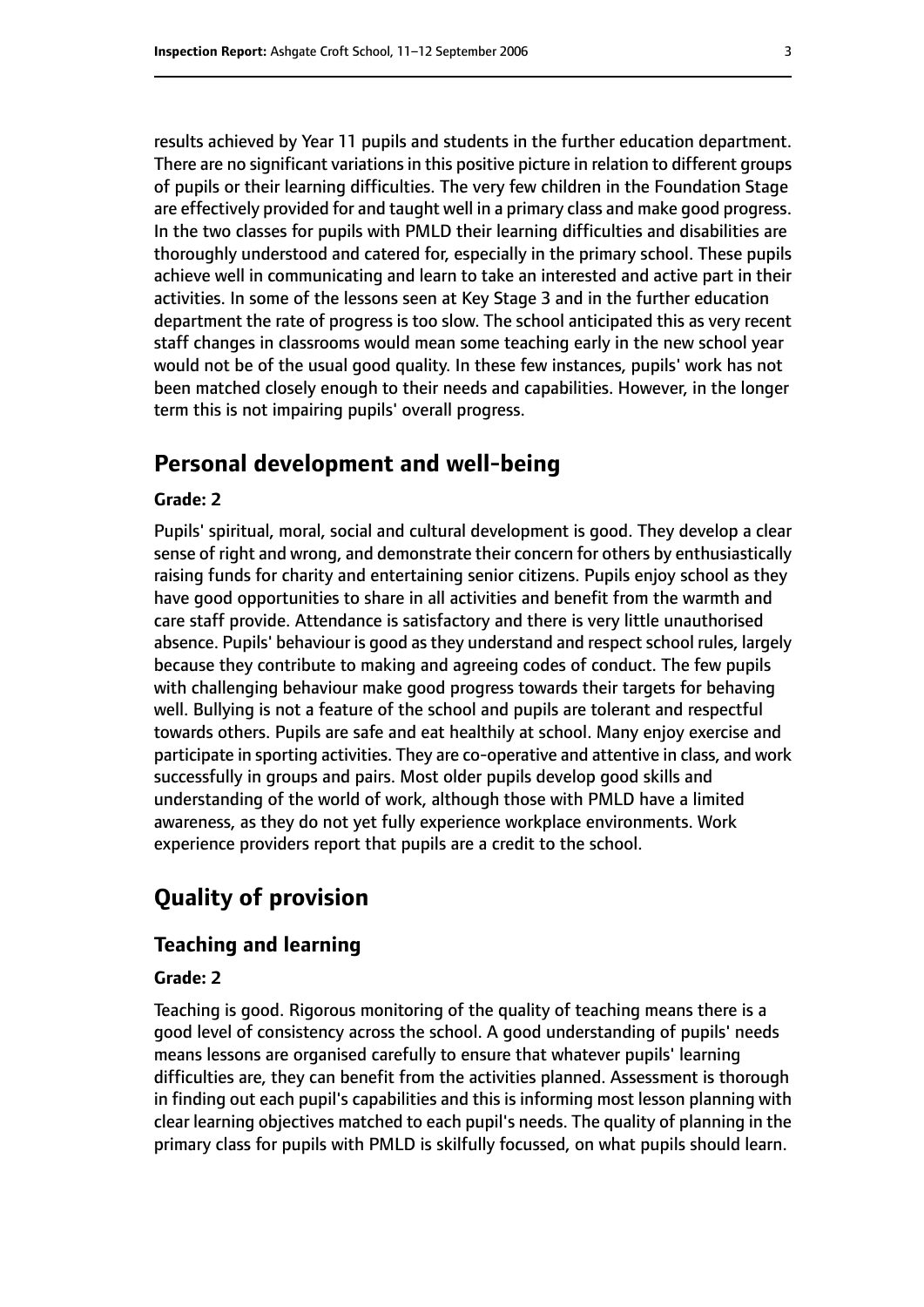results achieved by Year 11 pupils and students in the further education department. There are no significant variations in this positive picture in relation to different groups of pupils or their learning difficulties. The very few children in the Foundation Stage are effectively provided for and taught well in a primary class and make good progress. In the two classes for pupils with PMLD their learning difficulties and disabilities are thoroughly understood and catered for, especially in the primary school. These pupils achieve well in communicating and learn to take an interested and active part in their activities. In some of the lessons seen at Key Stage 3 and in the further education department the rate of progress is too slow. The school anticipated this as very recent staff changes in classrooms would mean some teaching early in the new school year would not be of the usual good quality. In these few instances, pupils' work has not been matched closely enough to their needs and capabilities. However, in the longer term this is not impairing pupils' overall progress.

## **Personal development and well-being**

#### **Grade: 2**

Pupils' spiritual, moral, social and cultural development is good. They develop a clear sense of right and wrong, and demonstrate their concern for others by enthusiastically raising funds for charity and entertaining senior citizens. Pupils enjoy school as they have good opportunities to share in all activities and benefit from the warmth and care staff provide. Attendance is satisfactory and there is very little unauthorised absence. Pupils' behaviour is good as they understand and respect school rules, largely because they contribute to making and agreeing codes of conduct. The few pupils with challenging behaviour make good progress towards their targets for behaving well. Bullying is not a feature of the school and pupils are tolerant and respectful towards others. Pupils are safe and eat healthily at school. Many enjoy exercise and participate in sporting activities. They are co-operative and attentive in class, and work successfully in groups and pairs. Most older pupils develop good skills and understanding of the world of work, although those with PMLD have a limited awareness, as they do not yet fully experience workplace environments. Work experience providers report that pupils are a credit to the school.

# **Quality of provision**

### **Teaching and learning**

#### **Grade: 2**

Teaching is good. Rigorous monitoring of the quality of teaching means there is a good level of consistency across the school. A good understanding of pupils' needs means lessons are organised carefully to ensure that whatever pupils' learning difficulties are, they can benefit from the activities planned. Assessment is thorough in finding out each pupil's capabilities and this is informing most lesson planning with clear learning objectives matched to each pupil's needs. The quality of planning in the primary class for pupils with PMLD is skilfully focussed, on what pupils should learn.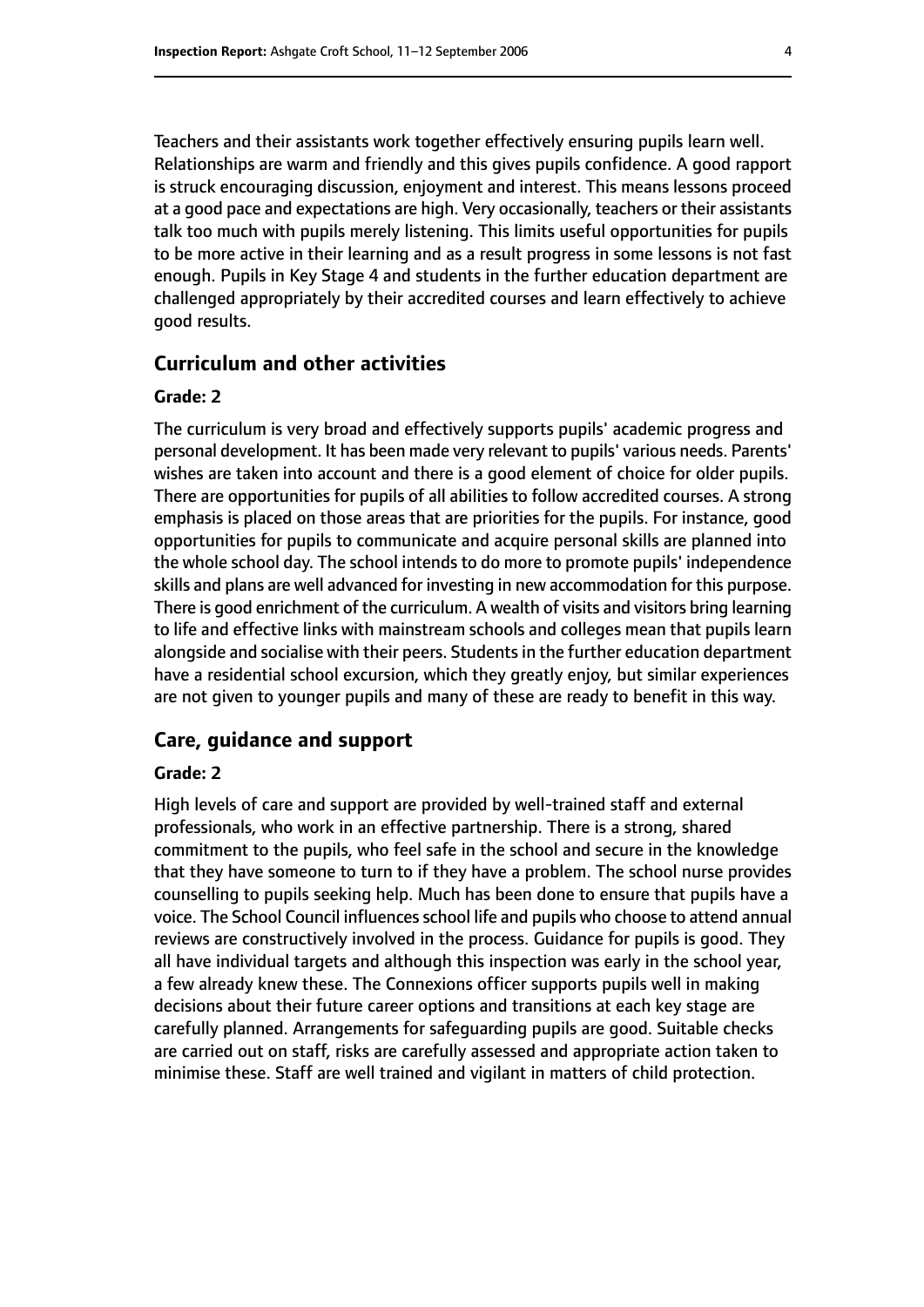Teachers and their assistants work together effectively ensuring pupils learn well. Relationships are warm and friendly and this gives pupils confidence. A good rapport is struck encouraging discussion, enjoyment and interest. This means lessons proceed at a good pace and expectations are high. Very occasionally, teachers or their assistants talk too much with pupils merely listening. This limits useful opportunities for pupils to be more active in their learning and as a result progress in some lessons is not fast enough. Pupils in Key Stage 4 and students in the further education department are challenged appropriately by their accredited courses and learn effectively to achieve good results.

#### **Curriculum and other activities**

#### **Grade: 2**

The curriculum is very broad and effectively supports pupils' academic progress and personal development. It has been made very relevant to pupils' various needs. Parents' wishes are taken into account and there is a good element of choice for older pupils. There are opportunities for pupils of all abilities to follow accredited courses. A strong emphasis is placed on those areas that are priorities for the pupils. For instance, good opportunities for pupils to communicate and acquire personal skills are planned into the whole school day. The school intends to do more to promote pupils' independence skills and plans are well advanced for investing in new accommodation for this purpose. There is good enrichment of the curriculum. A wealth of visits and visitors bring learning to life and effective links with mainstream schools and colleges mean that pupils learn alongside and socialise with their peers. Students in the further education department have a residential school excursion, which they greatly enjoy, but similar experiences are not given to younger pupils and many of these are ready to benefit in this way.

#### **Care, guidance and support**

#### **Grade: 2**

High levels of care and support are provided by well-trained staff and external professionals, who work in an effective partnership. There is a strong, shared commitment to the pupils, who feel safe in the school and secure in the knowledge that they have someone to turn to if they have a problem. The school nurse provides counselling to pupils seeking help. Much has been done to ensure that pupils have a voice. The School Council influences school life and pupils who choose to attend annual reviews are constructively involved in the process. Guidance for pupils is good. They all have individual targets and although this inspection was early in the school year, a few already knew these. The Connexions officer supports pupils well in making decisions about their future career options and transitions at each key stage are carefully planned. Arrangements for safeguarding pupils are good. Suitable checks are carried out on staff, risks are carefully assessed and appropriate action taken to minimise these. Staff are well trained and vigilant in matters of child protection.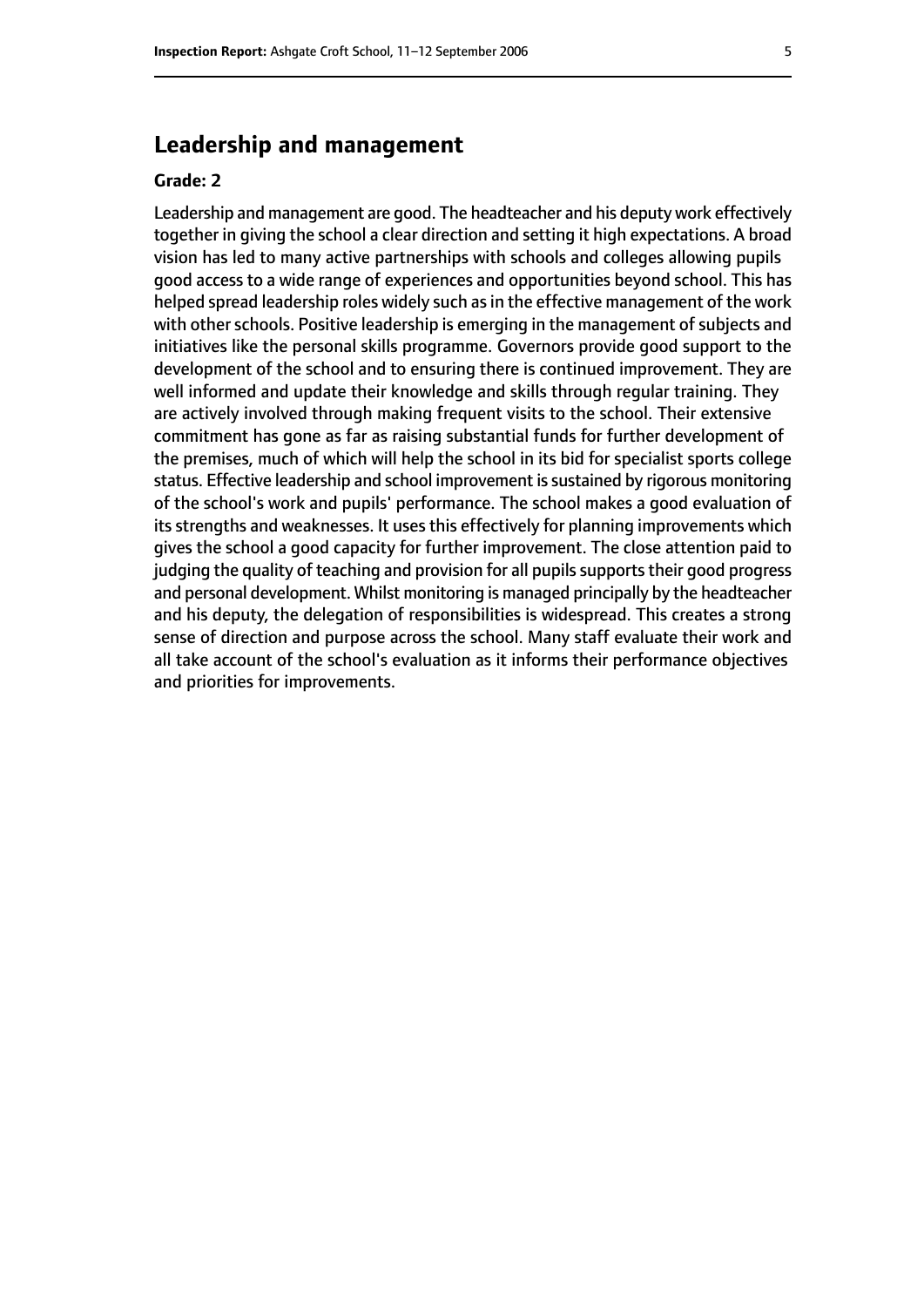# **Leadership and management**

#### **Grade: 2**

Leadership and management are good. The headteacher and his deputy work effectively together in giving the school a clear direction and setting it high expectations. A broad vision has led to many active partnerships with schools and colleges allowing pupils good access to a wide range of experiences and opportunities beyond school. This has helped spread leadership roles widely such as in the effective management of the work with other schools. Positive leadership is emerging in the management of subjects and initiatives like the personal skills programme. Governors provide good support to the development of the school and to ensuring there is continued improvement. They are well informed and update their knowledge and skills through regular training. They are actively involved through making frequent visits to the school. Their extensive commitment has gone as far as raising substantial funds for further development of the premises, much of which will help the school in its bid for specialist sports college status. Effective leadership and school improvement is sustained by rigorous monitoring of the school's work and pupils' performance. The school makes a good evaluation of its strengths and weaknesses. It uses this effectively for planning improvements which gives the school a good capacity for further improvement. The close attention paid to judging the quality of teaching and provision for all pupils supports their good progress and personal development. Whilst monitoring is managed principally by the headteacher and his deputy, the delegation of responsibilities is widespread. This creates a strong sense of direction and purpose across the school. Many staff evaluate their work and all take account of the school's evaluation as it informs their performance objectives and priorities for improvements.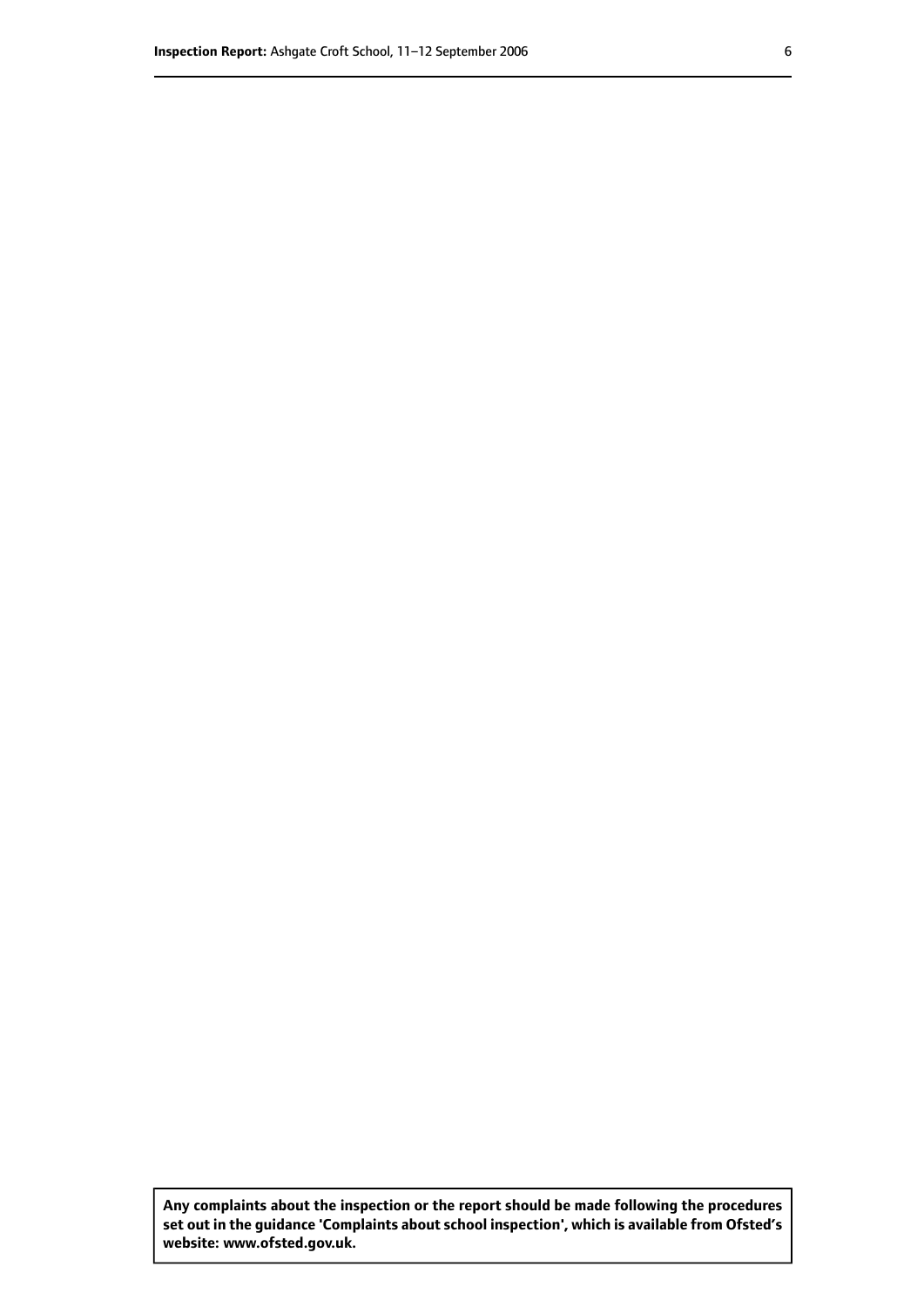**Any complaints about the inspection or the report should be made following the procedures set out inthe guidance 'Complaints about school inspection', whichis available from Ofsted's website: www.ofsted.gov.uk.**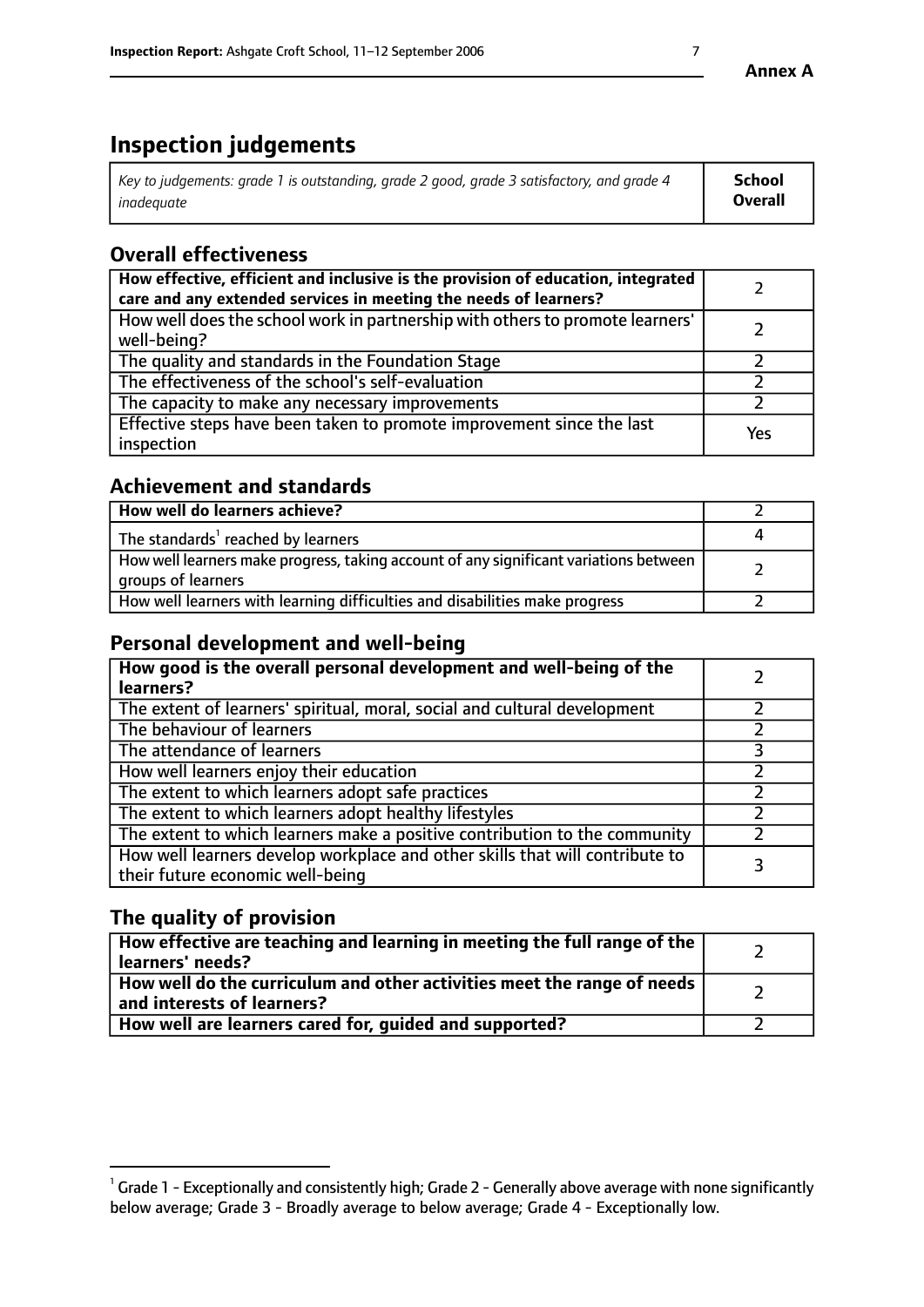# **Inspection judgements**

| $\vert$ Key to judgements: grade 1 is outstanding, grade 2 good, grade 3 satisfactory, and grade 4 | School         |
|----------------------------------------------------------------------------------------------------|----------------|
| inadeauate                                                                                         | <b>Overall</b> |

# **Overall effectiveness**

| How effective, efficient and inclusive is the provision of education, integrated<br>care and any extended services in meeting the needs of learners? |     |
|------------------------------------------------------------------------------------------------------------------------------------------------------|-----|
| How well does the school work in partnership with others to promote learners'<br>well-being?                                                         |     |
| The quality and standards in the Foundation Stage                                                                                                    |     |
| The effectiveness of the school's self-evaluation                                                                                                    |     |
| The capacity to make any necessary improvements                                                                                                      |     |
| Effective steps have been taken to promote improvement since the last<br>inspection                                                                  | Yes |

## **Achievement and standards**

| How well do learners achieve?                                                                               |  |
|-------------------------------------------------------------------------------------------------------------|--|
| The standards <sup>1</sup> reached by learners                                                              |  |
| How well learners make progress, taking account of any significant variations between<br>groups of learners |  |
| How well learners with learning difficulties and disabilities make progress                                 |  |

## **Personal development and well-being**

| How good is the overall personal development and well-being of the<br>learners?                                  |  |
|------------------------------------------------------------------------------------------------------------------|--|
| The extent of learners' spiritual, moral, social and cultural development                                        |  |
| The behaviour of learners                                                                                        |  |
| The attendance of learners                                                                                       |  |
| How well learners enjoy their education                                                                          |  |
| The extent to which learners adopt safe practices                                                                |  |
| The extent to which learners adopt healthy lifestyles                                                            |  |
| The extent to which learners make a positive contribution to the community                                       |  |
| How well learners develop workplace and other skills that will contribute to<br>their future economic well-being |  |

## **The quality of provision**

| How effective are teaching and learning in meeting the full range of the<br>  learners' needs?                      |  |
|---------------------------------------------------------------------------------------------------------------------|--|
| $\mid$ How well do the curriculum and other activities meet the range of needs<br>$\mid$ and interests of learners? |  |
| How well are learners cared for, guided and supported?                                                              |  |

 $^1$  Grade 1 - Exceptionally and consistently high; Grade 2 - Generally above average with none significantly below average; Grade 3 - Broadly average to below average; Grade 4 - Exceptionally low.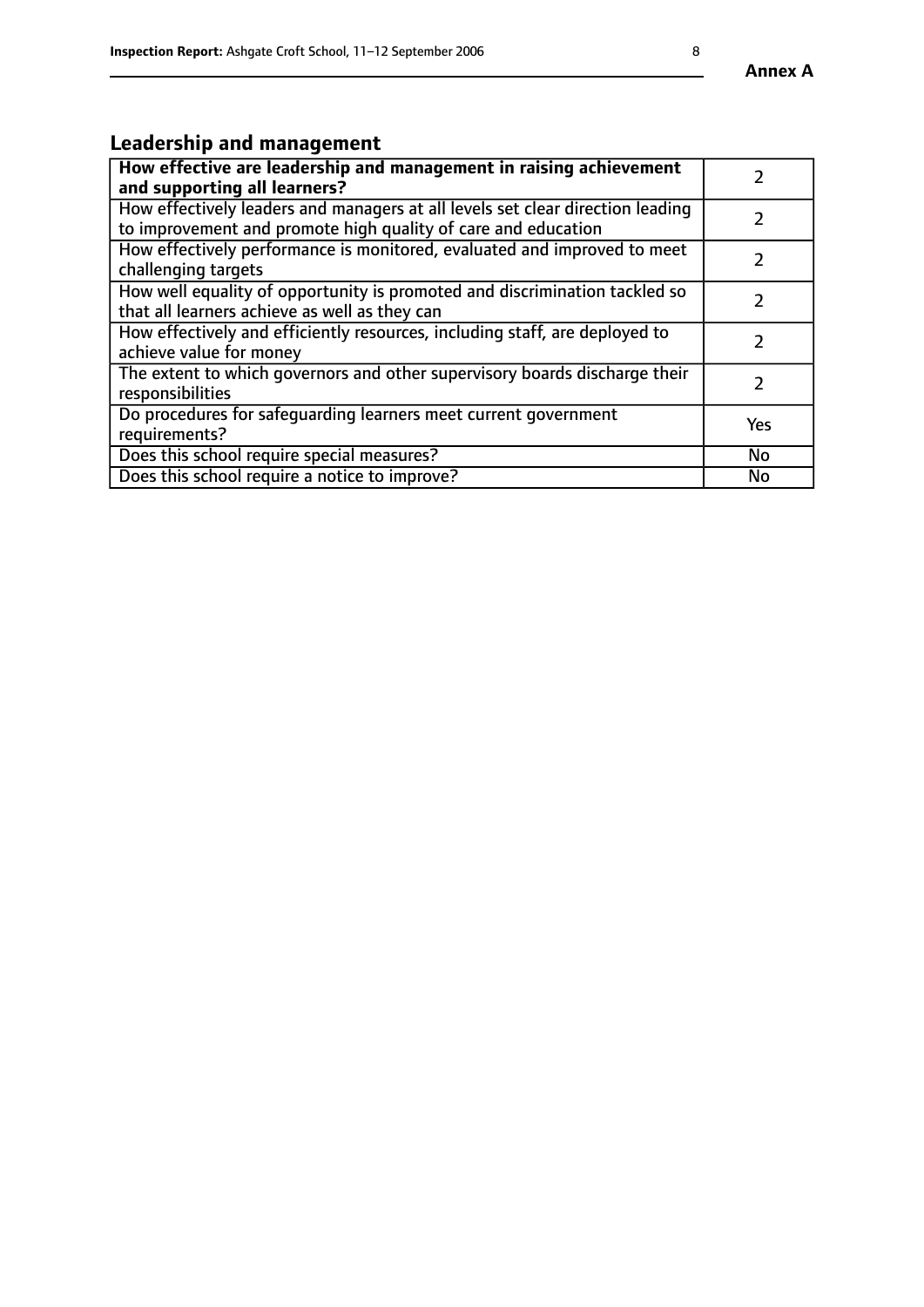# **Leadership and management**

| How effective are leadership and management in raising achievement<br>and supporting all learners?                                              |               |
|-------------------------------------------------------------------------------------------------------------------------------------------------|---------------|
| How effectively leaders and managers at all levels set clear direction leading<br>to improvement and promote high quality of care and education |               |
| How effectively performance is monitored, evaluated and improved to meet<br>challenging targets                                                 | $\mathcal{L}$ |
| How well equality of opportunity is promoted and discrimination tackled so<br>that all learners achieve as well as they can                     |               |
| How effectively and efficiently resources, including staff, are deployed to<br>achieve value for money                                          |               |
| The extent to which governors and other supervisory boards discharge their<br>responsibilities                                                  |               |
| Do procedures for safequarding learners meet current government<br>requirements?                                                                | Yes           |
| Does this school require special measures?                                                                                                      | No            |
| Does this school require a notice to improve?                                                                                                   | No            |